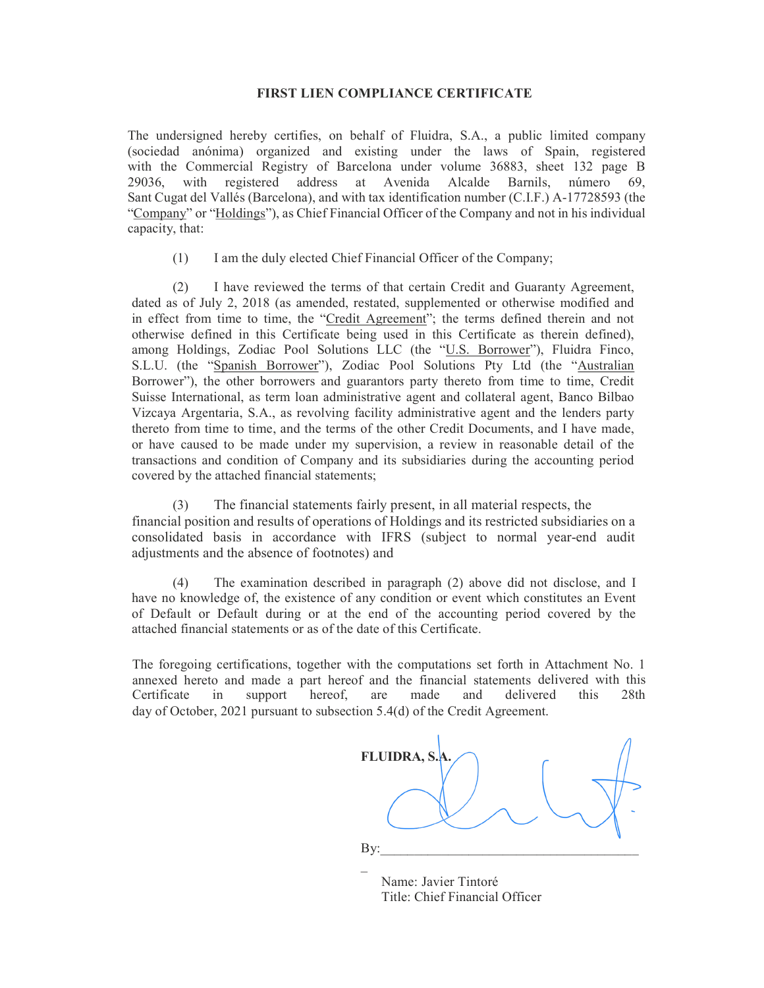## FIRST LIEN COMPLIANCE CERTIFICATE

The undersigned hereby certifies, on behalf of Fluidra, S.A., a public limited company (sociedad anónima) organized and existing under the laws of Spain, registered with the Commercial Registry of Barcelona under volume 36883, sheet 132 page B 29036, with registered address at Avenida Alcalde Barnils, número 69, Sant Cugat del Vallés (Barcelona), and with tax identification number (C.I.F.) A-17728593 (the "Company" or "Holdings"), as Chief Financial Officer of the Company and not in his individual capacity, that:

(1) I am the duly elected Chief Financial Officer of the Company;

(2) I have reviewed the terms of that certain Credit and Guaranty Agreement, dated as of July 2, 2018 (as amended, restated, supplemented or otherwise modified and in effect from time to time, the "Credit Agreement"; the terms defined therein and not otherwise defined in this Certificate being used in this Certificate as therein defined), among Holdings, Zodiac Pool Solutions LLC (the "U.S. Borrower"), Fluidra Finco, S.L.U. (the "Spanish Borrower"), Zodiac Pool Solutions Pty Ltd (the "Australian Borrower"), the other borrowers and guarantors party thereto from time to time, Credit Suisse International, as term loan administrative agent and collateral agent, Banco Bilbao Vizcaya Argentaria, S.A., as revolving facility administrative agent and the lenders party thereto from time to time, and the terms of the other Credit Documents, and I have made, or have caused to be made under my supervision, a review in reasonable detail of the transactions and condition of Company and its subsidiaries during the accounting period covered by the attached financial statements;

(3) The financial statements fairly present, in all material respects, the financial position and results of operations of Holdings and its restricted subsidiaries on a consolidated basis in accordance with IFRS (subject to normal year-end audit adjustments and the absence of footnotes) and

(4) The examination described in paragraph (2) above did not disclose, and I have no knowledge of, the existence of any condition or event which constitutes an Event of Default or Default during or at the end of the accounting period covered by the attached financial statements or as of the date of this Certificate.

The foregoing certifications, together with the computations set forth in Attachment No. 1 annexed hereto and made a part hereof and the financial statements delivered with this Certificate in support hereof, are made and delivered this 28th day of October, 2021 pursuant to subsection 5.4(d) of the Credit Agreement.



 Name: Javier Tintoré Title: Chief Financial Officer